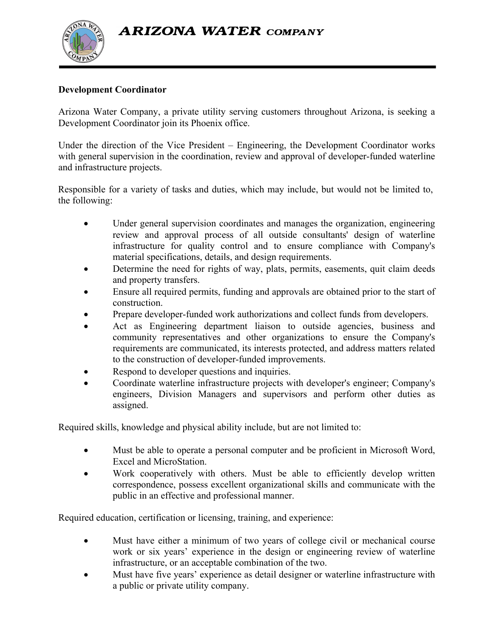**ARIZONA WATER COMPANY** 



## **Development Coordinator**

Arizona Water Company, a private utility serving customers throughout Arizona, is seeking a Development Coordinator join its Phoenix office.

Under the direction of the Vice President – Engineering, the Development Coordinator works with general supervision in the coordination, review and approval of developer-funded waterline and infrastructure projects.

Responsible for a variety of tasks and duties, which may include, but would not be limited to, the following:

- Under general supervision coordinates and manages the organization, engineering review and approval process of all outside consultants' design of waterline infrastructure for quality control and to ensure compliance with Company's material specifications, details, and design requirements.
- Determine the need for rights of way, plats, permits, easements, quit claim deeds and property transfers.
- Ensure all required permits, funding and approvals are obtained prior to the start of construction.
- Prepare developer-funded work authorizations and collect funds from developers.
- Act as Engineering department liaison to outside agencies, business and community representatives and other organizations to ensure the Company's requirements are communicated, its interests protected, and address matters related to the construction of developer-funded improvements.
- Respond to developer questions and inquiries.
- Coordinate waterline infrastructure projects with developer's engineer; Company's engineers, Division Managers and supervisors and perform other duties as assigned.

Required skills, knowledge and physical ability include, but are not limited to:

- Must be able to operate a personal computer and be proficient in Microsoft Word, Excel and MicroStation.
- Work cooperatively with others. Must be able to efficiently develop written correspondence, possess excellent organizational skills and communicate with the public in an effective and professional manner.

Required education, certification or licensing, training, and experience:

- Must have either a minimum of two years of college civil or mechanical course work or six years' experience in the design or engineering review of waterline infrastructure, or an acceptable combination of the two.
- Must have five years' experience as detail designer or waterline infrastructure with a public or private utility company.